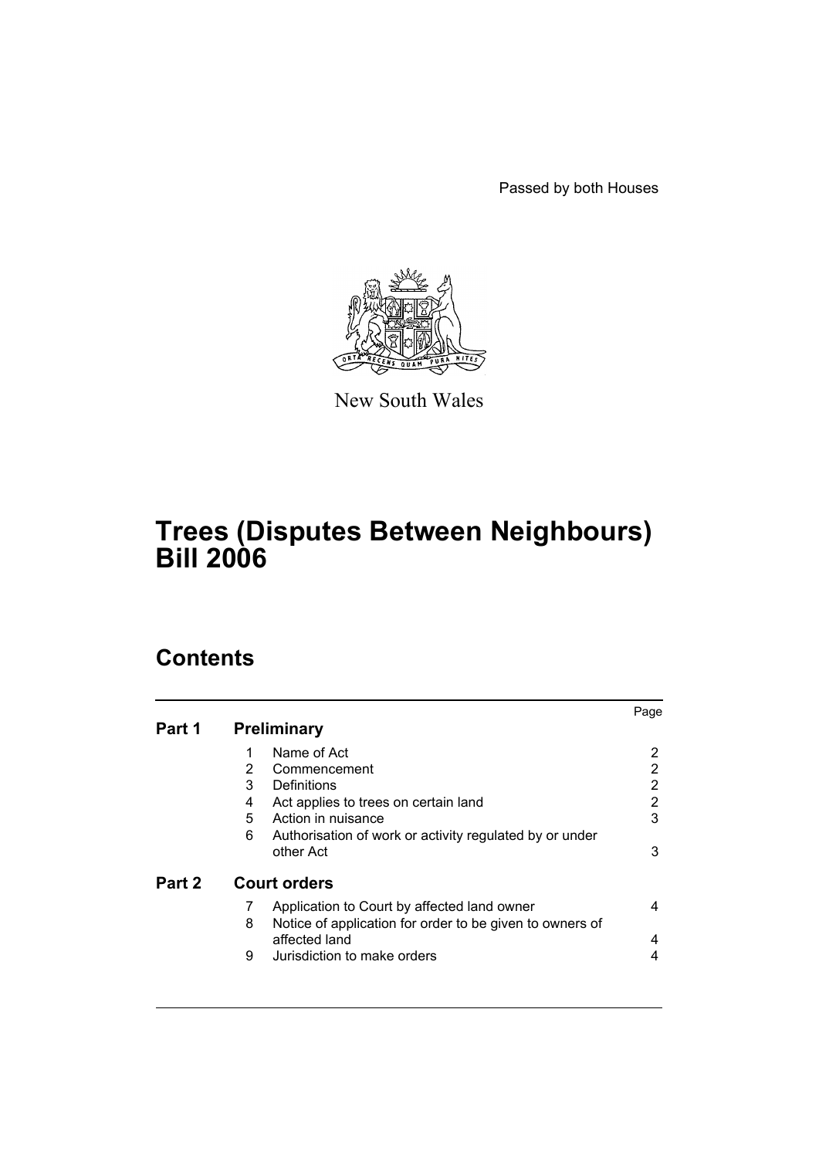Passed by both Houses



New South Wales

# **Trees (Disputes Between Neighbours) Bill 2006**

# **Contents**

|        |                                                               | Page |  |  |
|--------|---------------------------------------------------------------|------|--|--|
| Part 1 | <b>Preliminary</b>                                            |      |  |  |
|        | Name of Act<br>1                                              |      |  |  |
|        | 2<br>Commencement                                             | 2    |  |  |
|        | 3<br>Definitions                                              | 2    |  |  |
|        | 4<br>Act applies to trees on certain land                     | 2    |  |  |
|        | 5<br>Action in nuisance                                       | 3    |  |  |
|        | 6<br>Authorisation of work or activity regulated by or under  |      |  |  |
|        | other Act                                                     | 3    |  |  |
| Part 2 | <b>Court orders</b>                                           |      |  |  |
|        | 7<br>Application to Court by affected land owner              | 4    |  |  |
|        | Notice of application for order to be given to owners of<br>8 |      |  |  |
|        | affected land                                                 | 4    |  |  |
|        | 9<br>Jurisdiction to make orders                              | 4    |  |  |
|        |                                                               |      |  |  |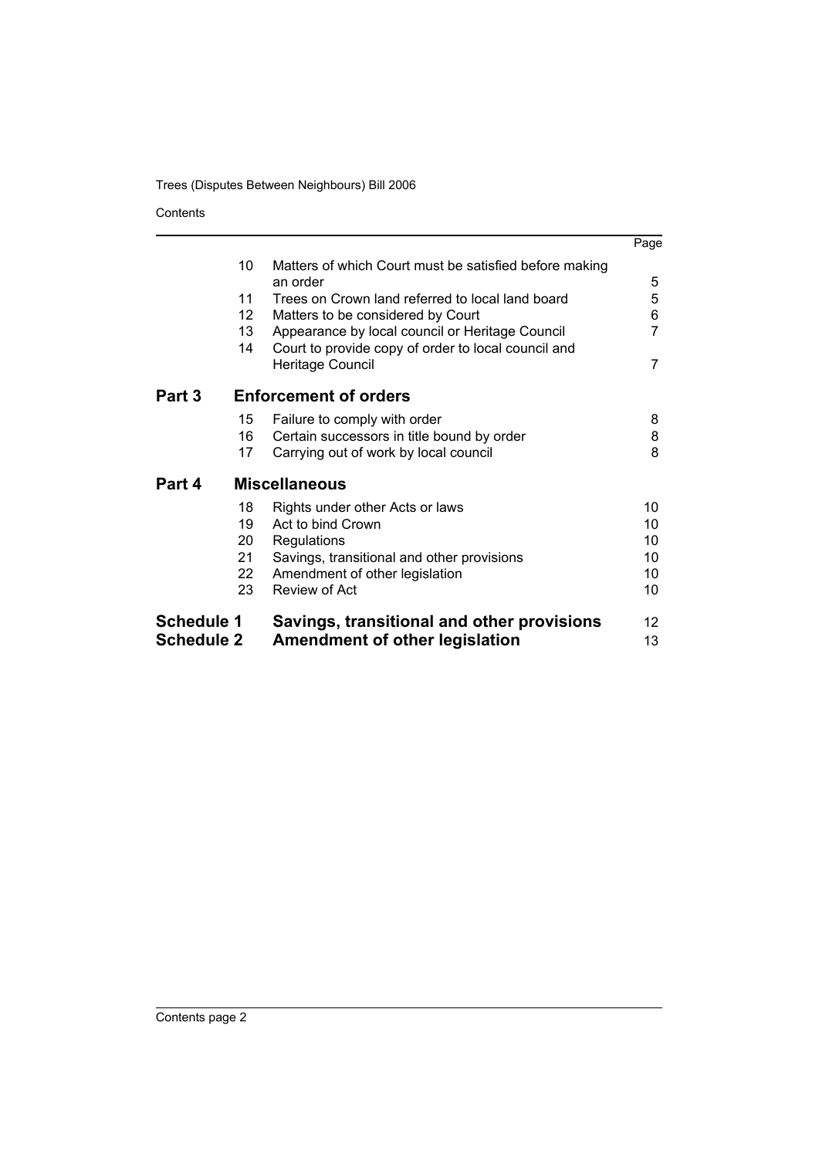**Contents** 

|                   |                      |                                                                         | Page |  |  |  |
|-------------------|----------------------|-------------------------------------------------------------------------|------|--|--|--|
|                   | 10                   | Matters of which Court must be satisfied before making<br>an order      | 5    |  |  |  |
|                   | 11                   | Trees on Crown land referred to local land board                        | 5    |  |  |  |
|                   | 12                   | Matters to be considered by Court                                       | 6    |  |  |  |
|                   | 13 <sup>°</sup>      | Appearance by local council or Heritage Council                         | 7    |  |  |  |
|                   | 14                   | Court to provide copy of order to local council and<br>Heritage Council | 7    |  |  |  |
| Part 3            |                      | <b>Enforcement of orders</b>                                            |      |  |  |  |
|                   | 15                   | Failure to comply with order                                            | 8    |  |  |  |
|                   | 16                   | Certain successors in title bound by order                              | 8    |  |  |  |
|                   | 17                   | Carrying out of work by local council                                   | 8    |  |  |  |
| Part 4            | <b>Miscellaneous</b> |                                                                         |      |  |  |  |
|                   | 18                   | Rights under other Acts or laws                                         | 10   |  |  |  |
|                   | 19                   | Act to bind Crown                                                       | 10   |  |  |  |
|                   | 20                   | Regulations                                                             | 10   |  |  |  |
|                   | 21                   | Savings, transitional and other provisions                              | 10   |  |  |  |
|                   | 22                   | Amendment of other legislation                                          | 10   |  |  |  |
|                   | 23                   | <b>Review of Act</b>                                                    | 10   |  |  |  |
| <b>Schedule 1</b> |                      | Savings, transitional and other provisions                              | 12   |  |  |  |
| <b>Schedule 2</b> |                      | Amendment of other legislation                                          | 13   |  |  |  |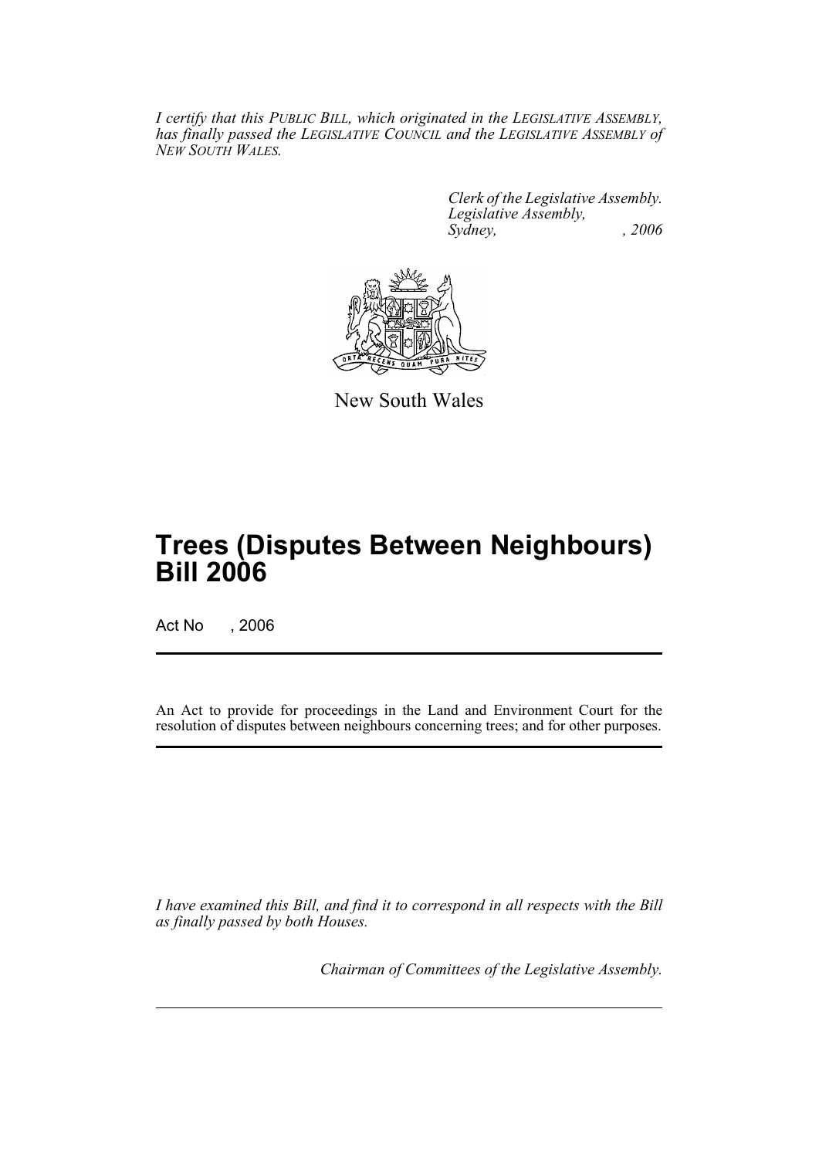*I certify that this PUBLIC BILL, which originated in the LEGISLATIVE ASSEMBLY, has finally passed the LEGISLATIVE COUNCIL and the LEGISLATIVE ASSEMBLY of NEW SOUTH WALES.*

> *Clerk of the Legislative Assembly. Legislative Assembly, Sydney, , 2006*



New South Wales

# **Trees (Disputes Between Neighbours) Bill 2006**

Act No , 2006

An Act to provide for proceedings in the Land and Environment Court for the resolution of disputes between neighbours concerning trees; and for other purposes.

*I have examined this Bill, and find it to correspond in all respects with the Bill as finally passed by both Houses.*

*Chairman of Committees of the Legislative Assembly.*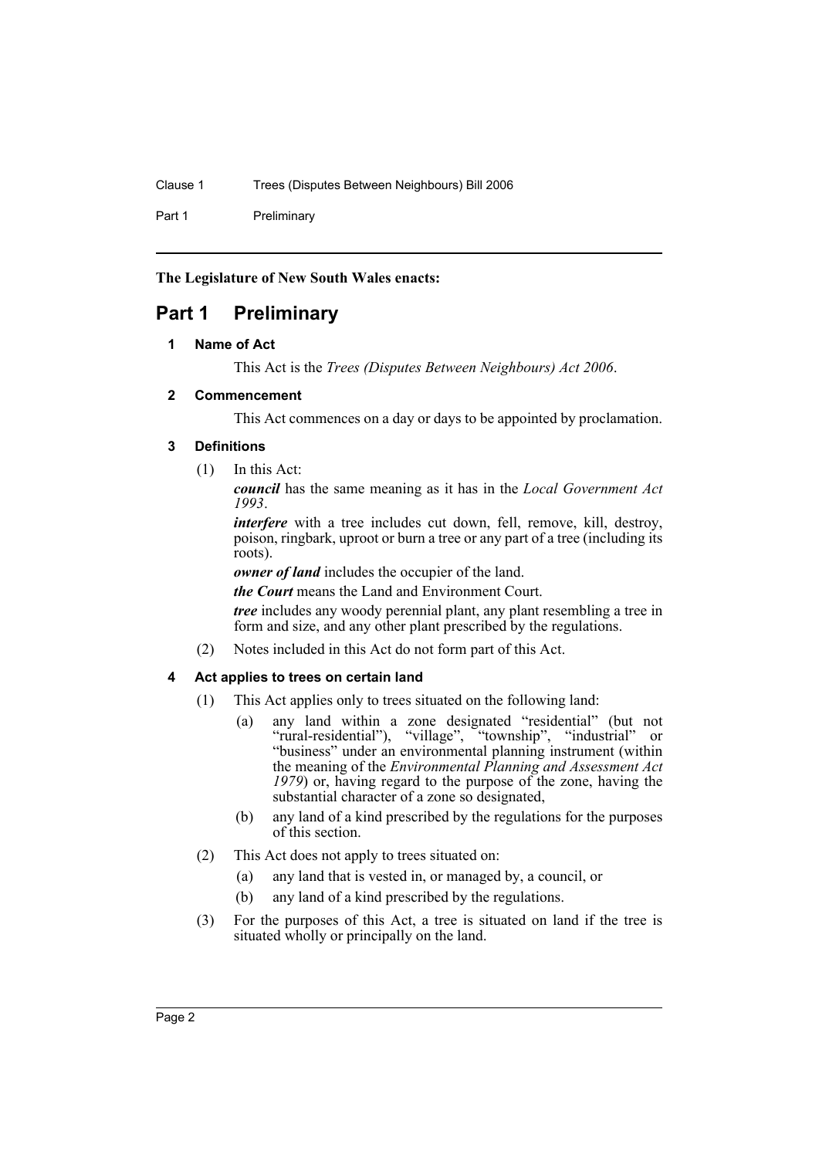Part 1 Preliminary

**The Legislature of New South Wales enacts:**

# **Part 1 Preliminary**

### **1 Name of Act**

This Act is the *Trees (Disputes Between Neighbours) Act 2006*.

### **2 Commencement**

This Act commences on a day or days to be appointed by proclamation.

### **3 Definitions**

(1) In this Act:

*council* has the same meaning as it has in the *Local Government Act 1993*.

*interfere* with a tree includes cut down, fell, remove, kill, destroy, poison, ringbark, uproot or burn a tree or any part of a tree (including its roots).

*owner of land* includes the occupier of the land.

*the Court* means the Land and Environment Court.

*tree* includes any woody perennial plant, any plant resembling a tree in form and size, and any other plant prescribed by the regulations.

(2) Notes included in this Act do not form part of this Act.

### **4 Act applies to trees on certain land**

- (1) This Act applies only to trees situated on the following land:
	- (a) any land within a zone designated "residential" (but not "rural-residential"), "village", "township", "industrial" or "business" under an environmental planning instrument (within the meaning of the *Environmental Planning and Assessment Act* 1979) or, having regard to the purpose of the zone, having the substantial character of a zone so designated,
	- (b) any land of a kind prescribed by the regulations for the purposes of this section.
- (2) This Act does not apply to trees situated on:
	- (a) any land that is vested in, or managed by, a council, or
	- (b) any land of a kind prescribed by the regulations.
- (3) For the purposes of this Act, a tree is situated on land if the tree is situated wholly or principally on the land.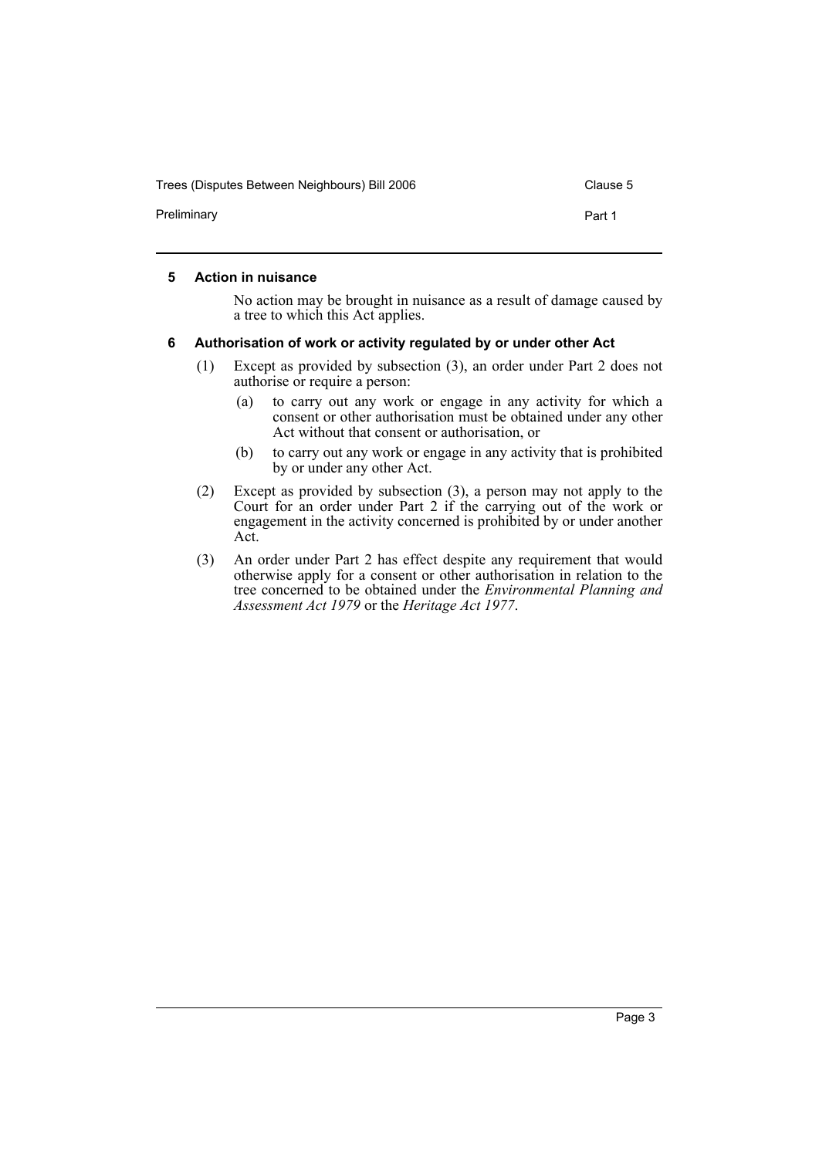Trees (Disputes Between Neighbours) Bill 2006 Clause 5

Preliminary **Part 1** 

### **5 Action in nuisance**

No action may be brought in nuisance as a result of damage caused by a tree to which this Act applies.

### **6 Authorisation of work or activity regulated by or under other Act**

- (1) Except as provided by subsection (3), an order under Part 2 does not authorise or require a person:
	- (a) to carry out any work or engage in any activity for which a consent or other authorisation must be obtained under any other Act without that consent or authorisation, or
	- (b) to carry out any work or engage in any activity that is prohibited by or under any other Act.
- (2) Except as provided by subsection (3), a person may not apply to the Court for an order under Part 2 if the carrying out of the work or engagement in the activity concerned is prohibited by or under another Act.
- (3) An order under Part 2 has effect despite any requirement that would otherwise apply for a consent or other authorisation in relation to the tree concerned to be obtained under the *Environmental Planning and Assessment Act 1979* or the *Heritage Act 1977*.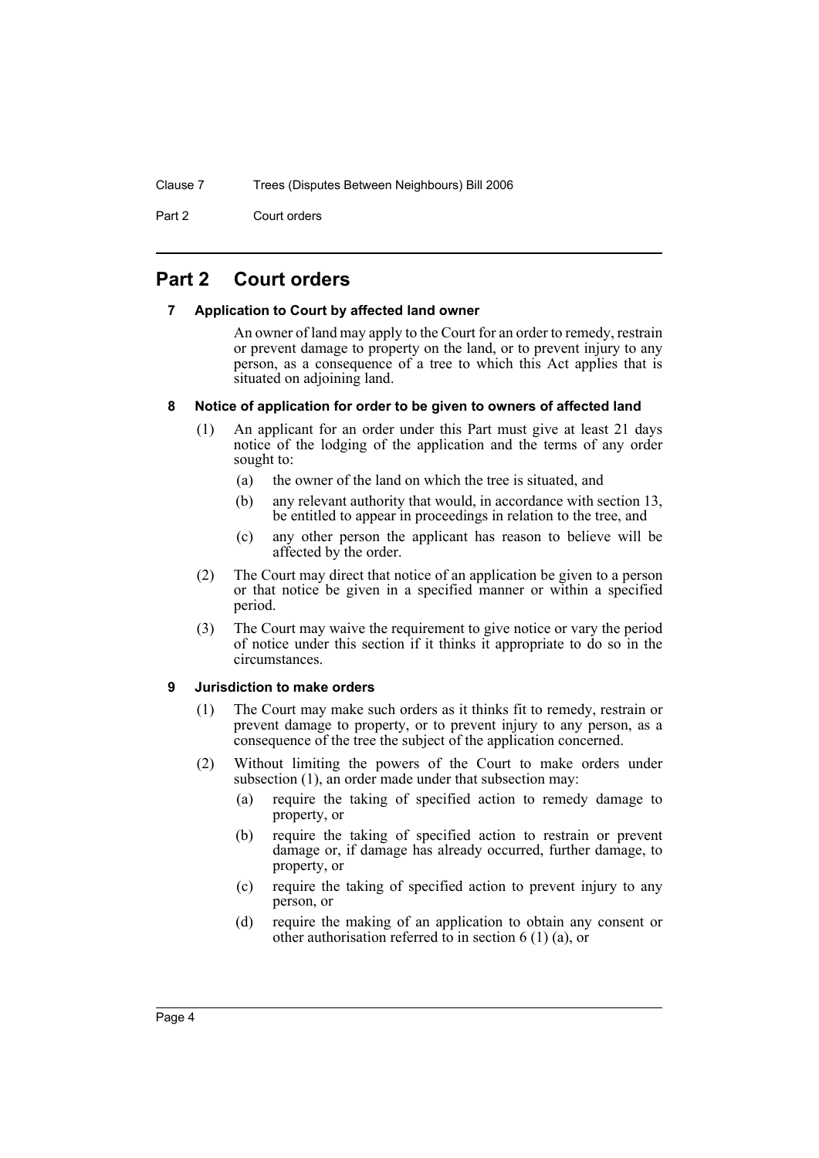Part 2 Court orders

## **Part 2 Court orders**

### **7 Application to Court by affected land owner**

An owner of land may apply to the Court for an order to remedy, restrain or prevent damage to property on the land, or to prevent injury to any person, as a consequence of a tree to which this Act applies that is situated on adjoining land.

### **8 Notice of application for order to be given to owners of affected land**

- (1) An applicant for an order under this Part must give at least 21 days notice of the lodging of the application and the terms of any order sought to:
	- (a) the owner of the land on which the tree is situated, and
	- (b) any relevant authority that would, in accordance with section 13, be entitled to appear in proceedings in relation to the tree, and
	- (c) any other person the applicant has reason to believe will be affected by the order.
- (2) The Court may direct that notice of an application be given to a person or that notice be given in a specified manner or within a specified period.
- (3) The Court may waive the requirement to give notice or vary the period of notice under this section if it thinks it appropriate to do so in the circumstances.

### **9 Jurisdiction to make orders**

- (1) The Court may make such orders as it thinks fit to remedy, restrain or prevent damage to property, or to prevent injury to any person, as a consequence of the tree the subject of the application concerned.
- (2) Without limiting the powers of the Court to make orders under subsection (1), an order made under that subsection may:
	- (a) require the taking of specified action to remedy damage to property, or
	- (b) require the taking of specified action to restrain or prevent damage or, if damage has already occurred, further damage, to property, or
	- (c) require the taking of specified action to prevent injury to any person, or
	- (d) require the making of an application to obtain any consent or other authorisation referred to in section 6 (1) (a), or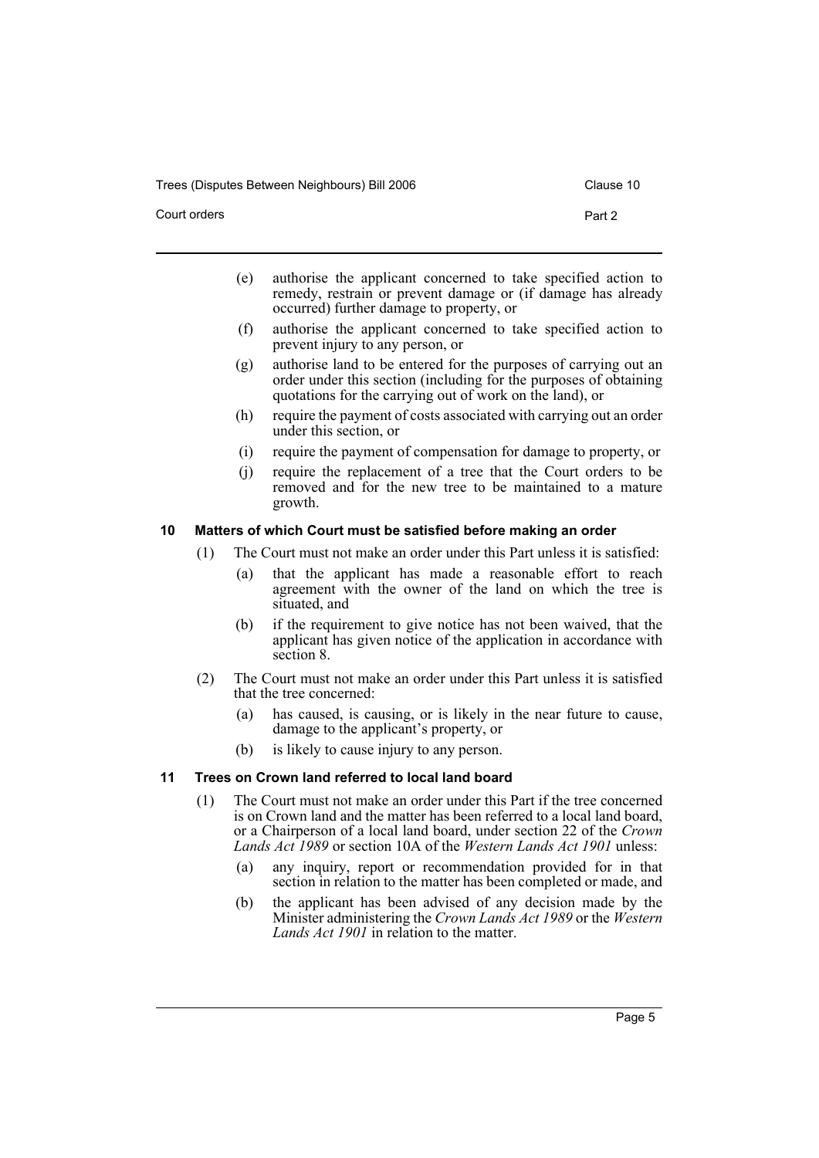Trees (Disputes Between Neighbours) Bill 2006 Contract Clause 10

- 
- (e) authorise the applicant concerned to take specified action to remedy, restrain or prevent damage or (if damage has already occurred) further damage to property, or
- (f) authorise the applicant concerned to take specified action to prevent injury to any person, or
- (g) authorise land to be entered for the purposes of carrying out an order under this section (including for the purposes of obtaining quotations for the carrying out of work on the land), or
- (h) require the payment of costs associated with carrying out an order under this section, or
- (i) require the payment of compensation for damage to property, or
- (j) require the replacement of a tree that the Court orders to be removed and for the new tree to be maintained to a mature growth.

### **10 Matters of which Court must be satisfied before making an order**

- (1) The Court must not make an order under this Part unless it is satisfied:
	- (a) that the applicant has made a reasonable effort to reach agreement with the owner of the land on which the tree is situated, and
	- (b) if the requirement to give notice has not been waived, that the applicant has given notice of the application in accordance with section 8.
- (2) The Court must not make an order under this Part unless it is satisfied that the tree concerned:
	- (a) has caused, is causing, or is likely in the near future to cause, damage to the applicant's property, or
	- (b) is likely to cause injury to any person.

### **11 Trees on Crown land referred to local land board**

- (1) The Court must not make an order under this Part if the tree concerned is on Crown land and the matter has been referred to a local land board, or a Chairperson of a local land board, under section 22 of the *Crown Lands Act 1989* or section 10A of the *Western Lands Act 1901* unless:
	- (a) any inquiry, report or recommendation provided for in that section in relation to the matter has been completed or made, and
	- (b) the applicant has been advised of any decision made by the Minister administering the *Crown Lands Act 1989* or the *Western Lands Act 1901* in relation to the matter.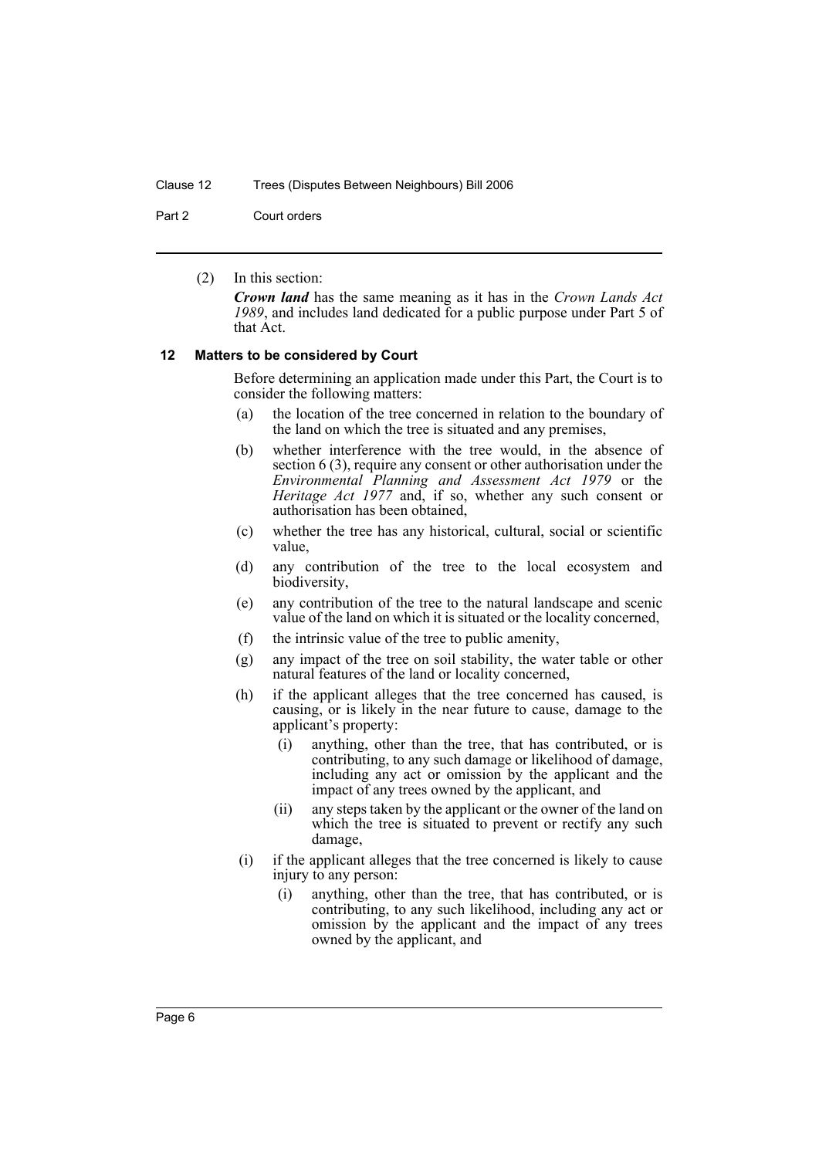Part 2 Court orders

(2) In this section:

*Crown land* has the same meaning as it has in the *Crown Lands Act 1989*, and includes land dedicated for a public purpose under Part 5 of that Act.

#### **12 Matters to be considered by Court**

Before determining an application made under this Part, the Court is to consider the following matters:

- (a) the location of the tree concerned in relation to the boundary of the land on which the tree is situated and any premises,
- (b) whether interference with the tree would, in the absence of section 6 (3), require any consent or other authorisation under the *Environmental Planning and Assessment Act 1979* or the *Heritage Act 1977* and, if so, whether any such consent or authorisation has been obtained,
- (c) whether the tree has any historical, cultural, social or scientific value,
- (d) any contribution of the tree to the local ecosystem and biodiversity,
- (e) any contribution of the tree to the natural landscape and scenic value of the land on which it is situated or the locality concerned,
- (f) the intrinsic value of the tree to public amenity,
- (g) any impact of the tree on soil stability, the water table or other natural features of the land or locality concerned,
- (h) if the applicant alleges that the tree concerned has caused, is causing, or is likely in the near future to cause, damage to the applicant's property:
	- (i) anything, other than the tree, that has contributed, or is contributing, to any such damage or likelihood of damage, including any act or omission by the applicant and the impact of any trees owned by the applicant, and
	- (ii) any steps taken by the applicant or the owner of the land on which the tree is situated to prevent or rectify any such damage,
- (i) if the applicant alleges that the tree concerned is likely to cause injury to any person:
	- (i) anything, other than the tree, that has contributed, or is contributing, to any such likelihood, including any act or omission by the applicant and the impact of any trees owned by the applicant, and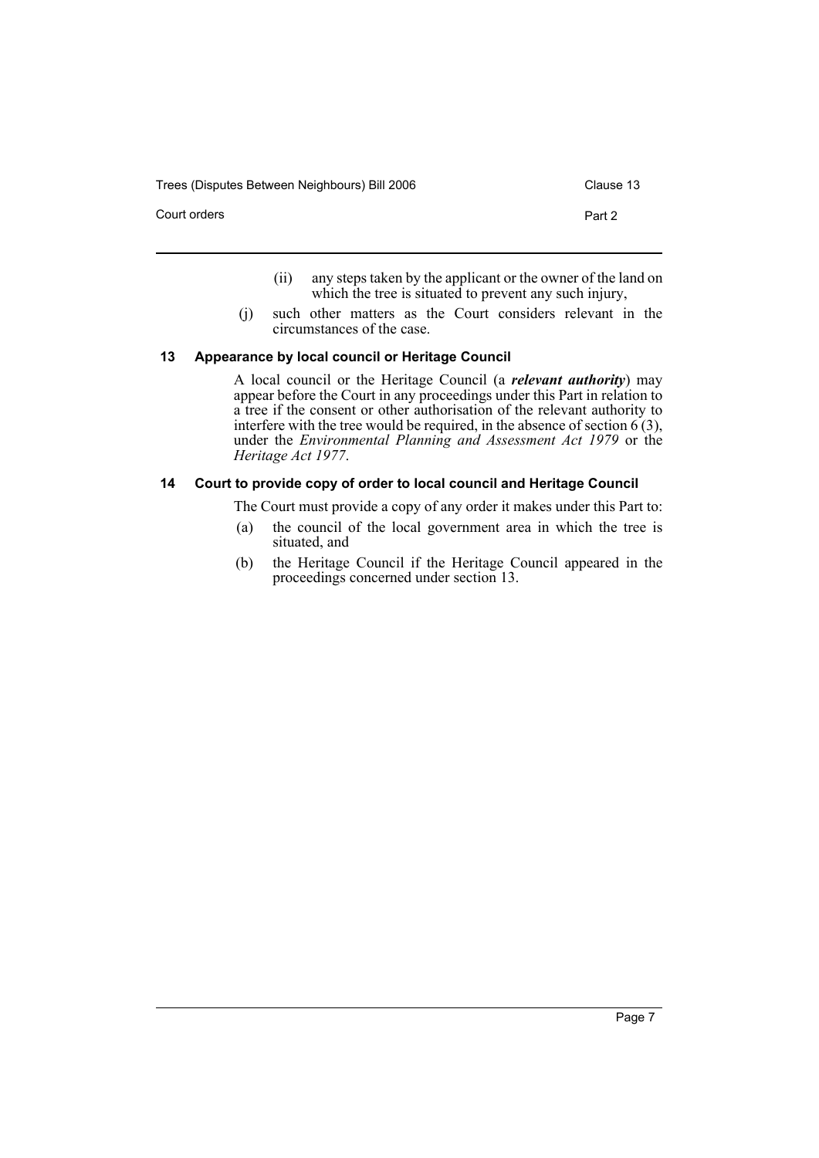Trees (Disputes Between Neighbours) Bill 2006 Clause 13

- (ii) any steps taken by the applicant or the owner of the land on which the tree is situated to prevent any such injury,
- (j) such other matters as the Court considers relevant in the circumstances of the case.

### **13 Appearance by local council or Heritage Council**

A local council or the Heritage Council (a *relevant authority*) may appear before the Court in any proceedings under this Part in relation to a tree if the consent or other authorisation of the relevant authority to interfere with the tree would be required, in the absence of section  $6(3)$ , under the *Environmental Planning and Assessment Act 1979* or the *Heritage Act 1977*.

### **14 Court to provide copy of order to local council and Heritage Council**

The Court must provide a copy of any order it makes under this Part to:

- (a) the council of the local government area in which the tree is situated, and
- (b) the Heritage Council if the Heritage Council appeared in the proceedings concerned under section 13.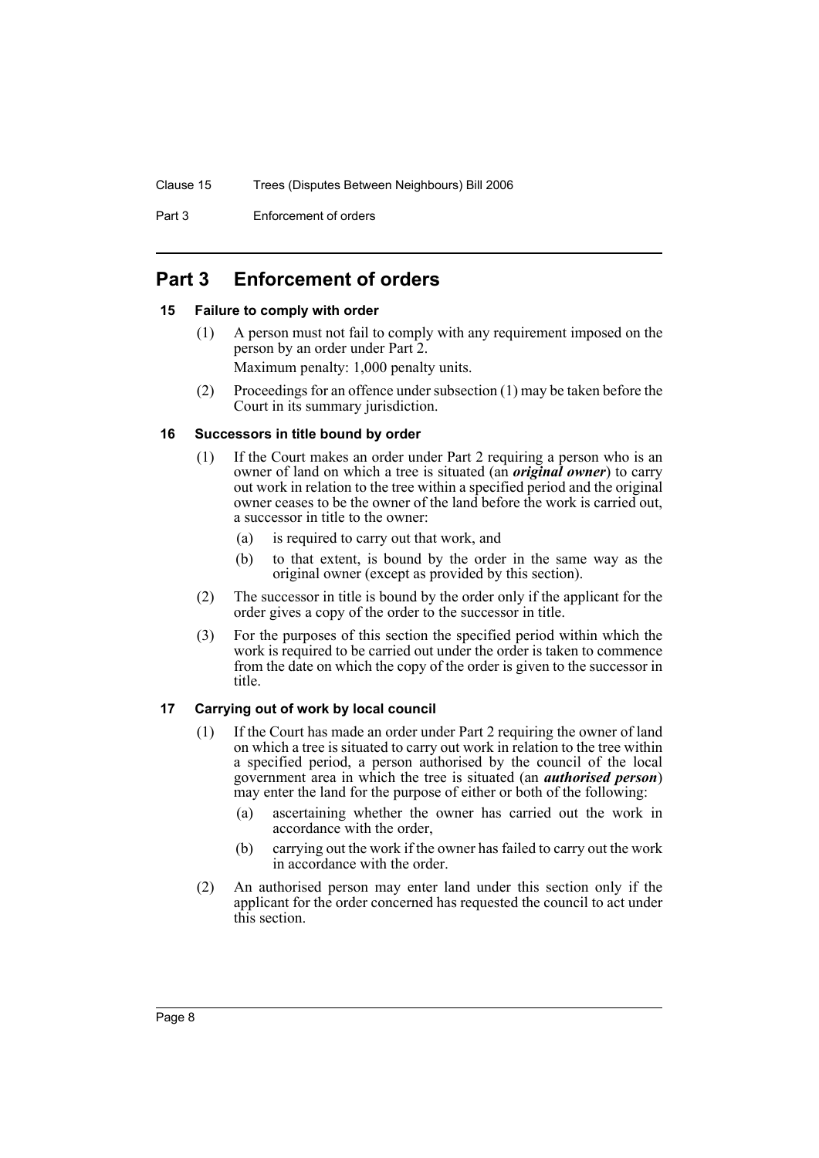Part 3 Enforcement of orders

# **Part 3 Enforcement of orders**

### **15 Failure to comply with order**

- (1) A person must not fail to comply with any requirement imposed on the person by an order under Part 2. Maximum penalty: 1,000 penalty units.
- (2) Proceedings for an offence under subsection (1) may be taken before the Court in its summary jurisdiction.

### **16 Successors in title bound by order**

- (1) If the Court makes an order under Part 2 requiring a person who is an owner of land on which a tree is situated (an *original owner*) to carry out work in relation to the tree within a specified period and the original owner ceases to be the owner of the land before the work is carried out, a successor in title to the owner:
	- (a) is required to carry out that work, and
	- (b) to that extent, is bound by the order in the same way as the original owner (except as provided by this section).
- (2) The successor in title is bound by the order only if the applicant for the order gives a copy of the order to the successor in title.
- (3) For the purposes of this section the specified period within which the work is required to be carried out under the order is taken to commence from the date on which the copy of the order is given to the successor in title.

### **17 Carrying out of work by local council**

- (1) If the Court has made an order under Part 2 requiring the owner of land on which a tree is situated to carry out work in relation to the tree within a specified period, a person authorised by the council of the local government area in which the tree is situated (an *authorised person*) may enter the land for the purpose of either or both of the following:
	- (a) ascertaining whether the owner has carried out the work in accordance with the order,
	- (b) carrying out the work if the owner has failed to carry out the work in accordance with the order.
- (2) An authorised person may enter land under this section only if the applicant for the order concerned has requested the council to act under this section.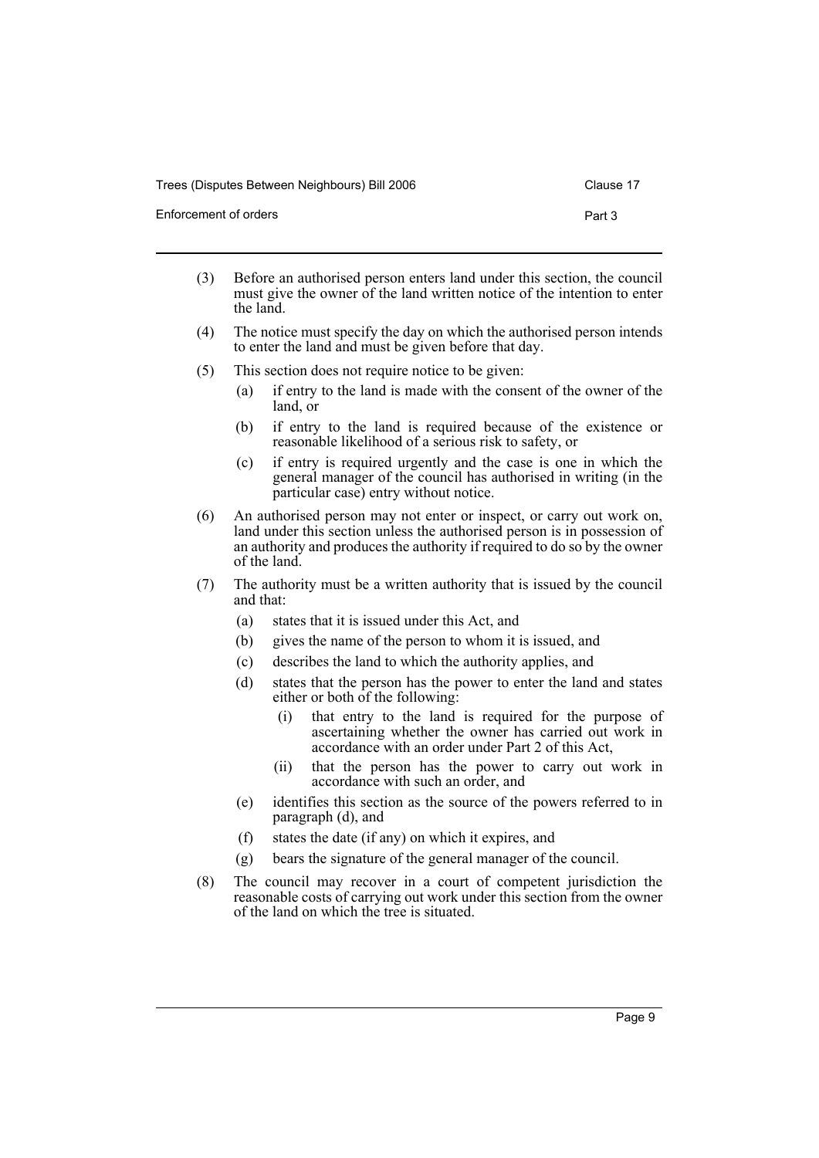Clause 17

- Enforcement of orders **Part 3** 
	- (3) Before an authorised person enters land under this section, the council must give the owner of the land written notice of the intention to enter the land.
	- (4) The notice must specify the day on which the authorised person intends to enter the land and must be given before that day.
	- (5) This section does not require notice to be given:
		- (a) if entry to the land is made with the consent of the owner of the land, or
		- (b) if entry to the land is required because of the existence or reasonable likelihood of a serious risk to safety, or
		- (c) if entry is required urgently and the case is one in which the general manager of the council has authorised in writing (in the particular case) entry without notice.
	- (6) An authorised person may not enter or inspect, or carry out work on, land under this section unless the authorised person is in possession of an authority and produces the authority if required to do so by the owner of the land.
	- (7) The authority must be a written authority that is issued by the council and that:
		- (a) states that it is issued under this Act, and
		- (b) gives the name of the person to whom it is issued, and
		- (c) describes the land to which the authority applies, and
		- (d) states that the person has the power to enter the land and states either or both of the following:
			- (i) that entry to the land is required for the purpose of ascertaining whether the owner has carried out work in accordance with an order under Part 2 of this Act,
			- (ii) that the person has the power to carry out work in accordance with such an order, and
		- (e) identifies this section as the source of the powers referred to in paragraph (d), and
		- (f) states the date (if any) on which it expires, and
		- (g) bears the signature of the general manager of the council.
	- (8) The council may recover in a court of competent jurisdiction the reasonable costs of carrying out work under this section from the owner of the land on which the tree is situated.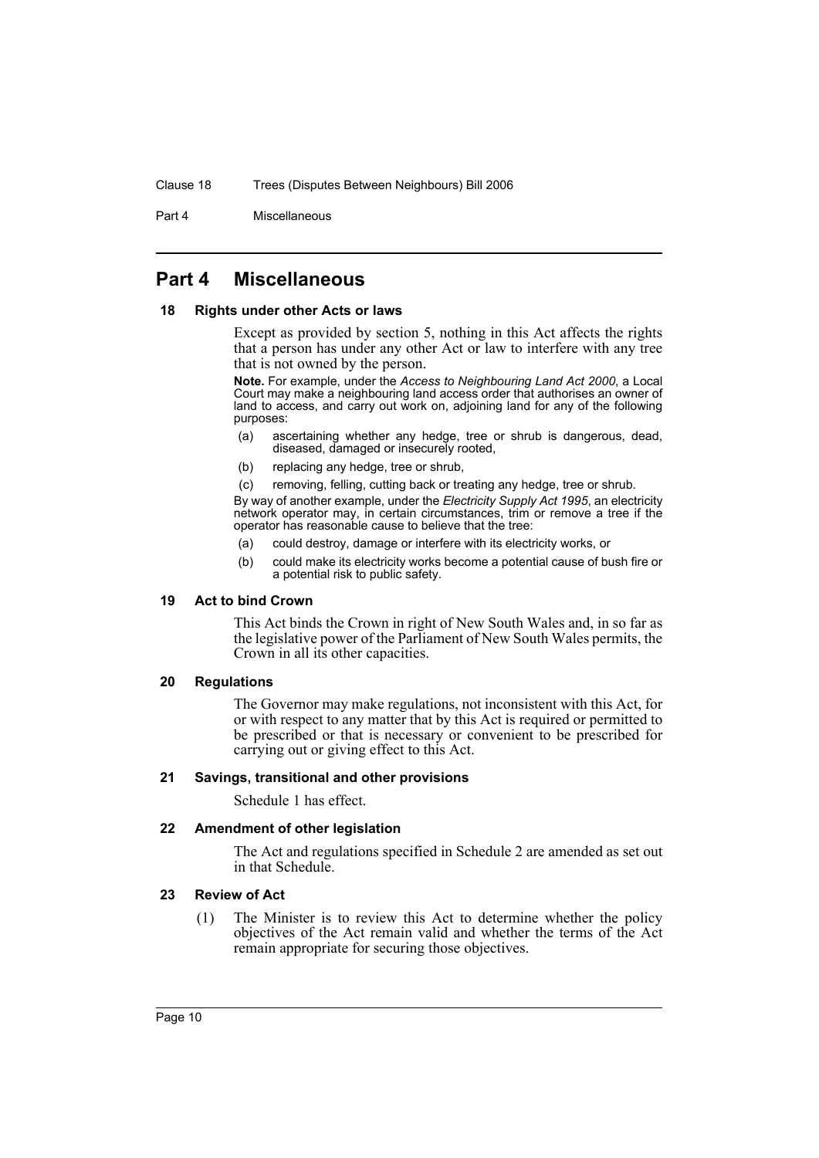Part 4 Miscellaneous

### **Part 4 Miscellaneous**

#### **18 Rights under other Acts or laws**

Except as provided by section 5, nothing in this Act affects the rights that a person has under any other Act or law to interfere with any tree that is not owned by the person.

**Note.** For example, under the *Access to Neighbouring Land Act 2000*, a Local Court may make a neighbouring land access order that authorises an owner of land to access, and carry out work on, adjoining land for any of the following purposes:

- (a) ascertaining whether any hedge, tree or shrub is dangerous, dead, diseased, damaged or insecurely rooted,
- (b) replacing any hedge, tree or shrub,
- (c) removing, felling, cutting back or treating any hedge, tree or shrub.

By way of another example, under the *Electricity Supply Act 1995*, an electricity network operator may, in certain circumstances, trim or remove a tree if the operator has reasonable cause to believe that the tree:

- (a) could destroy, damage or interfere with its electricity works, or
- (b) could make its electricity works become a potential cause of bush fire or a potential risk to public safety.

### **19 Act to bind Crown**

This Act binds the Crown in right of New South Wales and, in so far as the legislative power of the Parliament of New South Wales permits, the Crown in all its other capacities.

### **20 Regulations**

The Governor may make regulations, not inconsistent with this Act, for or with respect to any matter that by this Act is required or permitted to be prescribed or that is necessary or convenient to be prescribed for carrying out or giving effect to this Act.

### **21 Savings, transitional and other provisions**

Schedule 1 has effect.

### **22 Amendment of other legislation**

The Act and regulations specified in Schedule 2 are amended as set out in that Schedule.

### **23 Review of Act**

(1) The Minister is to review this Act to determine whether the policy objectives of the Act remain valid and whether the terms of the Act remain appropriate for securing those objectives.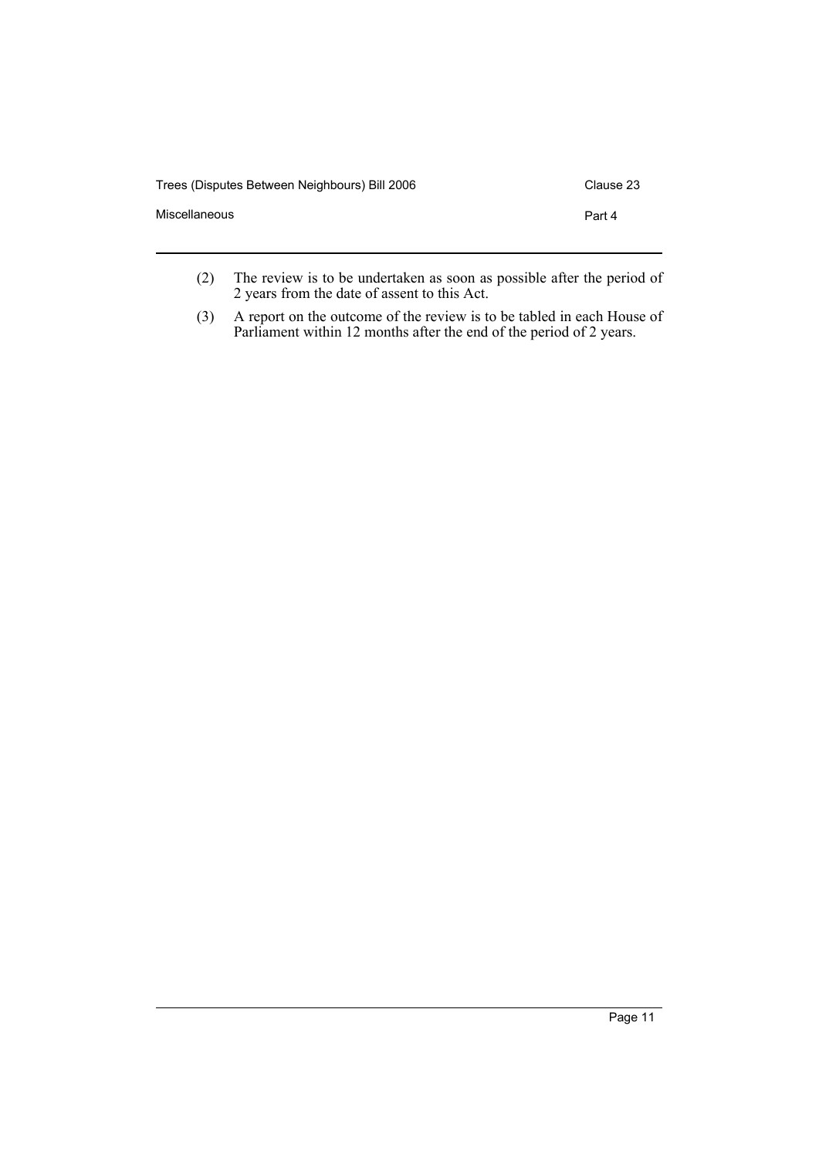| Trees (Disputes Between Neighbours) Bill 2006 | Clause 23 |
|-----------------------------------------------|-----------|
| Miscellaneous                                 | Part 4    |
|                                               |           |

- (2) The review is to be undertaken as soon as possible after the period of 2 years from the date of assent to this Act.
- (3) A report on the outcome of the review is to be tabled in each House of Parliament within 12 months after the end of the period of 2 years.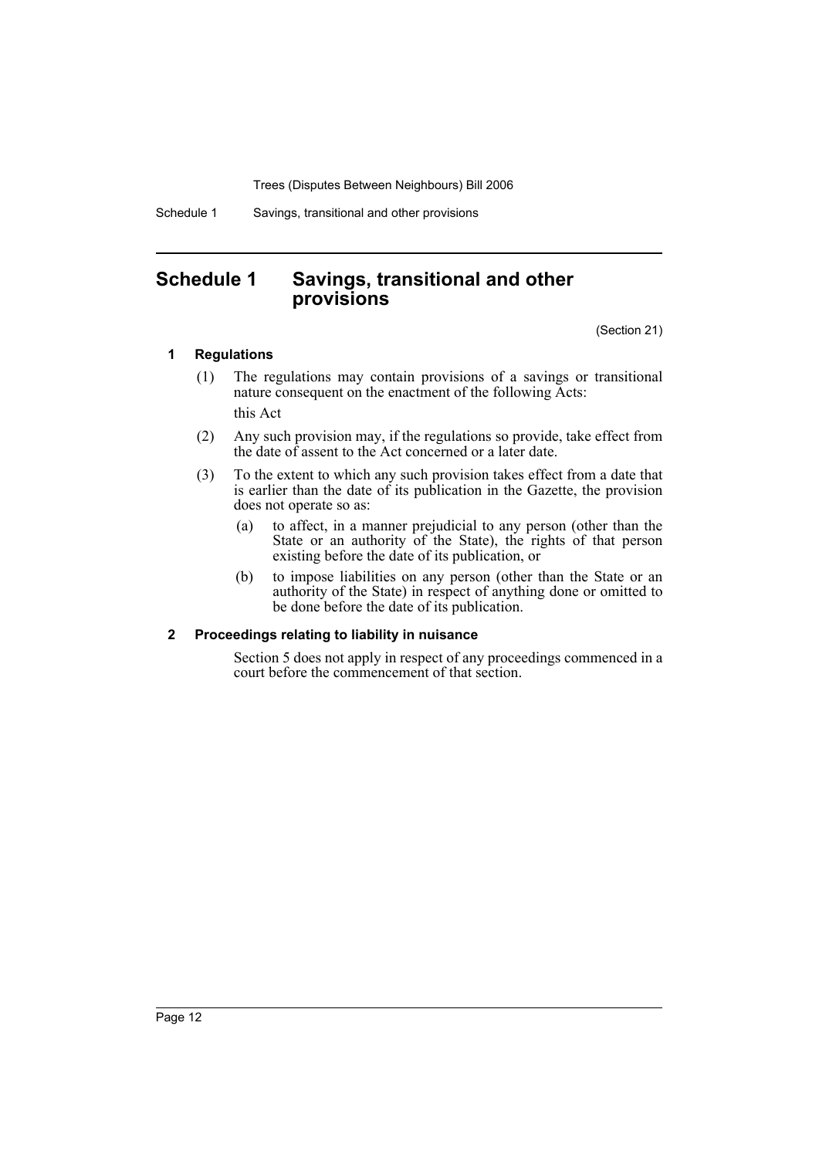Schedule 1 Savings, transitional and other provisions

## **Schedule 1 Savings, transitional and other provisions**

(Section 21)

### **1 Regulations**

- (1) The regulations may contain provisions of a savings or transitional nature consequent on the enactment of the following Acts: this Act
- (2) Any such provision may, if the regulations so provide, take effect from the date of assent to the Act concerned or a later date.
- (3) To the extent to which any such provision takes effect from a date that is earlier than the date of its publication in the Gazette, the provision does not operate so as:
	- (a) to affect, in a manner prejudicial to any person (other than the State or an authority of the State), the rights of that person existing before the date of its publication, or
	- (b) to impose liabilities on any person (other than the State or an authority of the State) in respect of anything done or omitted to be done before the date of its publication.

### **2 Proceedings relating to liability in nuisance**

Section 5 does not apply in respect of any proceedings commenced in a court before the commencement of that section.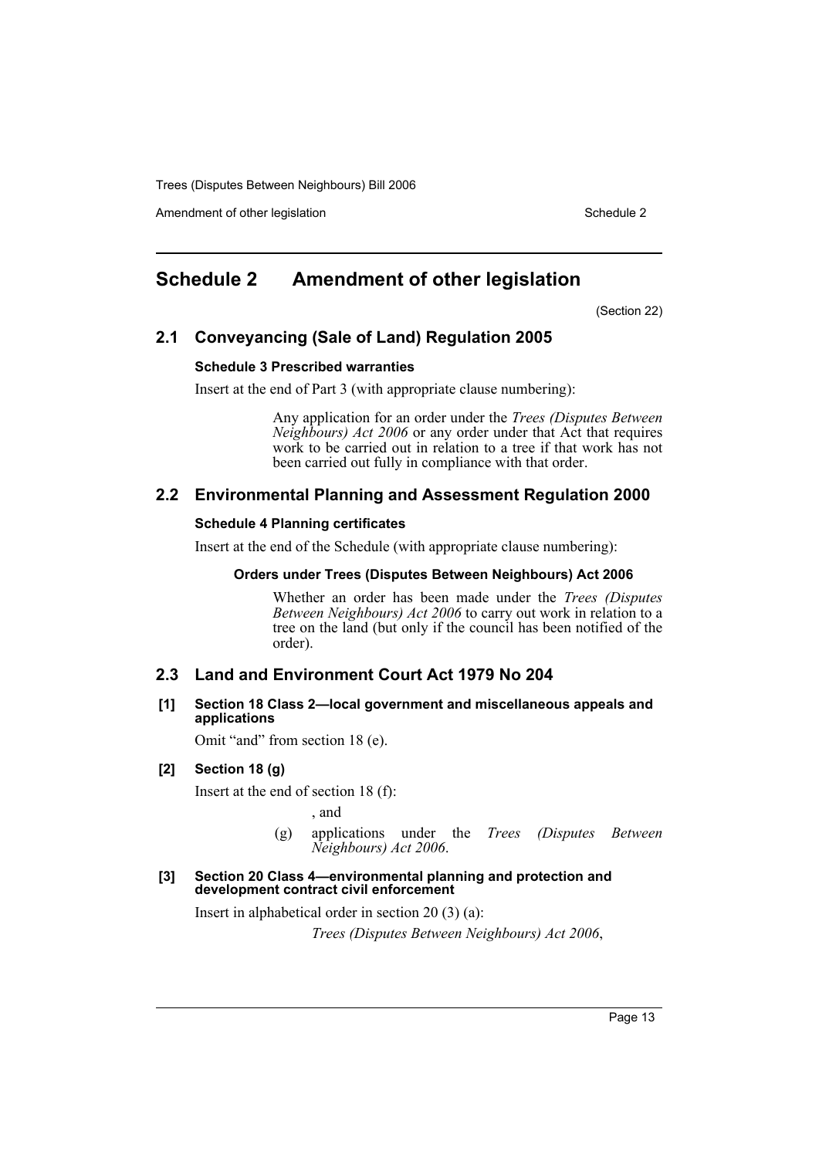Amendment of other legislation Schedule 2

# **Schedule 2 Amendment of other legislation**

(Section 22)

### **2.1 Conveyancing (Sale of Land) Regulation 2005**

### **Schedule 3 Prescribed warranties**

Insert at the end of Part 3 (with appropriate clause numbering):

Any application for an order under the *Trees (Disputes Between Neighbours) Act 2006* or any order under that Act that requires work to be carried out in relation to a tree if that work has not been carried out fully in compliance with that order.

### **2.2 Environmental Planning and Assessment Regulation 2000**

### **Schedule 4 Planning certificates**

Insert at the end of the Schedule (with appropriate clause numbering):

### **Orders under Trees (Disputes Between Neighbours) Act 2006**

Whether an order has been made under the *Trees (Disputes Between Neighbours) Act 2006* to carry out work in relation to a tree on the land (but only if the council has been notified of the order).

### **2.3 Land and Environment Court Act 1979 No 204**

**[1] Section 18 Class 2—local government and miscellaneous appeals and applications**

Omit "and" from section 18 (e).

### **[2] Section 18 (g)**

Insert at the end of section 18 (f):

, and

(g) applications under the *Trees (Disputes Between Neighbours) Act 2006*.

### **[3] Section 20 Class 4—environmental planning and protection and development contract civil enforcement**

Insert in alphabetical order in section 20 (3) (a):

*Trees (Disputes Between Neighbours) Act 2006*,